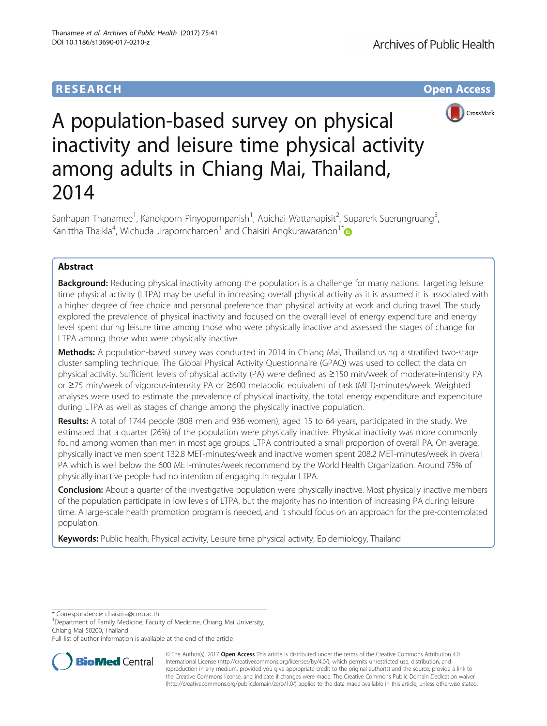# **RESEARCH CHE Open Access**



# A population-based survey on physical inactivity and leisure time physical activity among adults in Chiang Mai, Thailand, 2014

Sanhapan Thanamee<sup>1</sup>, Kanokporn Pinyopornpanish<sup>1</sup>, Apichai Wattanapisit<sup>2</sup>, Suparerk Suerungruang<sup>3</sup> , Kanittha Thaikla<sup>4</sup>, Wichuda Jiraporncharoen<sup>1</sup> and Chaisiri Angkurawaranon<sup>1\*</sup>

# Abstract

**Background:** Reducing physical inactivity among the population is a challenge for many nations. Targeting leisure time physical activity (LTPA) may be useful in increasing overall physical activity as it is assumed it is associated with a higher degree of free choice and personal preference than physical activity at work and during travel. The study explored the prevalence of physical inactivity and focused on the overall level of energy expenditure and energy level spent during leisure time among those who were physically inactive and assessed the stages of change for LTPA among those who were physically inactive.

Methods: A population-based survey was conducted in 2014 in Chiang Mai, Thailand using a stratified two-stage cluster sampling technique. The Global Physical Activity Questionnaire (GPAQ) was used to collect the data on physical activity. Sufficient levels of physical activity (PA) were defined as ≥150 min/week of moderate-intensity PA or ≥75 min/week of vigorous-intensity PA or ≥600 metabolic equivalent of task (MET)-minutes/week. Weighted analyses were used to estimate the prevalence of physical inactivity, the total energy expenditure and expenditure during LTPA as well as stages of change among the physically inactive population.

Results: A total of 1744 people (808 men and 936 women), aged 15 to 64 years, participated in the study. We estimated that a quarter (26%) of the population were physically inactive. Physical inactivity was more commonly found among women than men in most age groups. LTPA contributed a small proportion of overall PA. On average, physically inactive men spent 132.8 MET-minutes/week and inactive women spent 208.2 MET-minutes/week in overall PA which is well below the 600 MET-minutes/week recommend by the World Health Organization. Around 75% of physically inactive people had no intention of engaging in regular LTPA.

**Conclusion:** About a quarter of the investigative population were physically inactive. Most physically inactive members of the population participate in low levels of LTPA, but the majority has no intention of increasing PA during leisure time. A large-scale health promotion program is needed, and it should focus on an approach for the pre-contemplated population.

Keywords: Public health, Physical activity, Leisure time physical activity, Epidemiology, Thailand

\* Correspondence: [chaisiri.a@cmu.ac.th](mailto:chaisiri.a@cmu.ac.th) <sup>1</sup>

<sup>1</sup>Department of Family Medicine, Faculty of Medicine, Chiang Mai University, Chiang Mai 50200, Thailand

Full list of author information is available at the end of the article



© The Author(s). 2017 **Open Access** This article is distributed under the terms of the Creative Commons Attribution 4.0 International License [\(http://creativecommons.org/licenses/by/4.0/](http://creativecommons.org/licenses/by/4.0/)), which permits unrestricted use, distribution, and reproduction in any medium, provided you give appropriate credit to the original author(s) and the source, provide a link to the Creative Commons license, and indicate if changes were made. The Creative Commons Public Domain Dedication waiver [\(http://creativecommons.org/publicdomain/zero/1.0/](http://creativecommons.org/publicdomain/zero/1.0/)) applies to the data made available in this article, unless otherwise stated.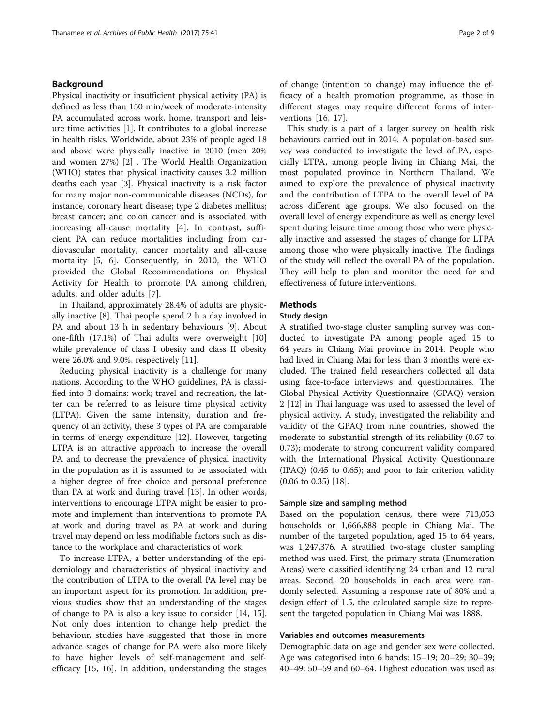# Background

Physical inactivity or insufficient physical activity (PA) is defined as less than 150 min/week of moderate-intensity PA accumulated across work, home, transport and leisure time activities [\[1](#page-7-0)]. It contributes to a global increase in health risks. Worldwide, about 23% of people aged 18 and above were physically inactive in 2010 (men 20% and women 27%) [[2\]](#page-7-0) . The World Health Organization (WHO) states that physical inactivity causes 3.2 million deaths each year [[3\]](#page-7-0). Physical inactivity is a risk factor for many major non-communicable diseases (NCDs), for instance, coronary heart disease; type 2 diabetes mellitus; breast cancer; and colon cancer and is associated with increasing all-cause mortality [[4](#page-7-0)]. In contrast, sufficient PA can reduce mortalities including from cardiovascular mortality, cancer mortality and all-cause mortality [[5, 6\]](#page-7-0). Consequently, in 2010, the WHO provided the Global Recommendations on Physical Activity for Health to promote PA among children, adults, and older adults [[7\]](#page-7-0).

In Thailand, approximately 28.4% of adults are physically inactive [\[8](#page-7-0)]. Thai people spend 2 h a day involved in PA and about 13 h in sedentary behaviours [\[9](#page-7-0)]. About one-fifth (17.1%) of Thai adults were overweight [[10](#page-7-0)] while prevalence of class I obesity and class II obesity were 26.0% and 9.0%, respectively [\[11\]](#page-8-0).

Reducing physical inactivity is a challenge for many nations. According to the WHO guidelines, PA is classified into 3 domains: work; travel and recreation, the latter can be referred to as leisure time physical activity (LTPA). Given the same intensity, duration and frequency of an activity, these 3 types of PA are comparable in terms of energy expenditure [[12](#page-8-0)]. However, targeting LTPA is an attractive approach to increase the overall PA and to decrease the prevalence of physical inactivity in the population as it is assumed to be associated with a higher degree of free choice and personal preference than PA at work and during travel [\[13](#page-8-0)]. In other words, interventions to encourage LTPA might be easier to promote and implement than interventions to promote PA at work and during travel as PA at work and during travel may depend on less modifiable factors such as distance to the workplace and characteristics of work.

To increase LTPA, a better understanding of the epidemiology and characteristics of physical inactivity and the contribution of LTPA to the overall PA level may be an important aspect for its promotion. In addition, previous studies show that an understanding of the stages of change to PA is also a key issue to consider [[14, 15](#page-8-0)]. Not only does intention to change help predict the behaviour, studies have suggested that those in more advance stages of change for PA were also more likely to have higher levels of self-management and selfefficacy [[15](#page-8-0), [16](#page-8-0)]. In addition, understanding the stages of change (intention to change) may influence the efficacy of a health promotion programme, as those in different stages may require different forms of interventions [[16, 17](#page-8-0)].

This study is a part of a larger survey on health risk behaviours carried out in 2014. A population-based survey was conducted to investigate the level of PA, especially LTPA, among people living in Chiang Mai, the most populated province in Northern Thailand. We aimed to explore the prevalence of physical inactivity and the contribution of LTPA to the overall level of PA across different age groups. We also focused on the overall level of energy expenditure as well as energy level spent during leisure time among those who were physically inactive and assessed the stages of change for LTPA among those who were physically inactive. The findings of the study will reflect the overall PA of the population. They will help to plan and monitor the need for and effectiveness of future interventions.

# **Methods**

## Study design

A stratified two-stage cluster sampling survey was conducted to investigate PA among people aged 15 to 64 years in Chiang Mai province in 2014. People who had lived in Chiang Mai for less than 3 months were excluded. The trained field researchers collected all data using face-to-face interviews and questionnaires. The Global Physical Activity Questionnaire (GPAQ) version 2 [[12\]](#page-8-0) in Thai language was used to assessed the level of physical activity. A study, investigated the reliability and validity of the GPAQ from nine countries, showed the moderate to substantial strength of its reliability (0.67 to 0.73); moderate to strong concurrent validity compared with the International Physical Activity Questionnaire (IPAQ) (0.45 to 0.65); and poor to fair criterion validity (0.06 to 0.35) [\[18\]](#page-8-0).

## Sample size and sampling method

Based on the population census, there were 713,053 households or 1,666,888 people in Chiang Mai. The number of the targeted population, aged 15 to 64 years, was 1,247,376. A stratified two-stage cluster sampling method was used. First, the primary strata (Enumeration Areas) were classified identifying 24 urban and 12 rural areas. Second, 20 households in each area were randomly selected. Assuming a response rate of 80% and a design effect of 1.5, the calculated sample size to represent the targeted population in Chiang Mai was 1888.

## Variables and outcomes measurements

Demographic data on age and gender sex were collected. Age was categorised into 6 bands: 15–19; 20–29; 30–39; 40–49; 50–59 and 60–64. Highest education was used as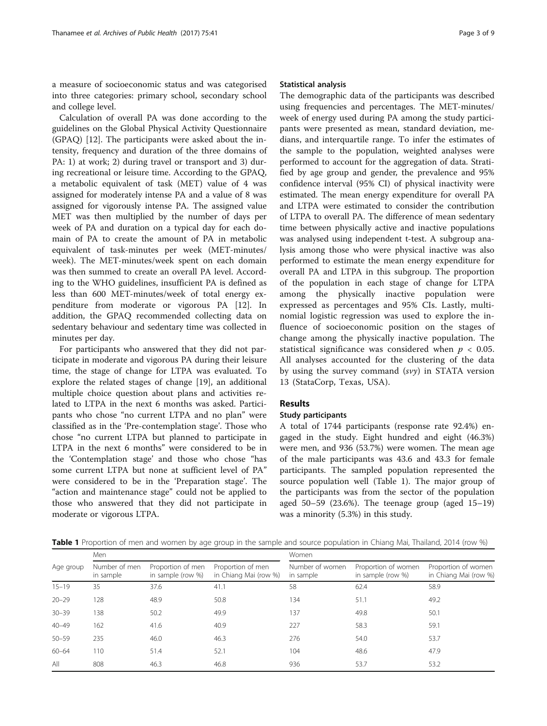a measure of socioeconomic status and was categorised into three categories: primary school, secondary school and college level.

Calculation of overall PA was done according to the guidelines on the Global Physical Activity Questionnaire (GPAQ) [[12](#page-8-0)]. The participants were asked about the intensity, frequency and duration of the three domains of PA: 1) at work; 2) during travel or transport and 3) during recreational or leisure time. According to the GPAQ, a metabolic equivalent of task (MET) value of 4 was assigned for moderately intense PA and a value of 8 was assigned for vigorously intense PA. The assigned value MET was then multiplied by the number of days per week of PA and duration on a typical day for each domain of PA to create the amount of PA in metabolic equivalent of task-minutes per week (MET-minutes/ week). The MET-minutes/week spent on each domain was then summed to create an overall PA level. According to the WHO guidelines, insufficient PA is defined as less than 600 MET-minutes/week of total energy expenditure from moderate or vigorous PA [\[12\]](#page-8-0). In addition, the GPAQ recommended collecting data on sedentary behaviour and sedentary time was collected in minutes per day.

For participants who answered that they did not participate in moderate and vigorous PA during their leisure time, the stage of change for LTPA was evaluated. To explore the related stages of change [[19](#page-8-0)], an additional multiple choice question about plans and activities related to LTPA in the next 6 months was asked. Participants who chose "no current LTPA and no plan" were classified as in the 'Pre-contemplation stage'. Those who chose "no current LTPA but planned to participate in LTPA in the next 6 months" were considered to be in the 'Contemplation stage' and those who chose "has some current LTPA but none at sufficient level of PA" were considered to be in the 'Preparation stage'. The "action and maintenance stage" could not be applied to those who answered that they did not participate in moderate or vigorous LTPA.

#### Statistical analysis

The demographic data of the participants was described using frequencies and percentages. The MET-minutes/ week of energy used during PA among the study participants were presented as mean, standard deviation, medians, and interquartile range. To infer the estimates of the sample to the population, weighted analyses were performed to account for the aggregation of data. Stratified by age group and gender, the prevalence and 95% confidence interval (95% CI) of physical inactivity were estimated. The mean energy expenditure for overall PA and LTPA were estimated to consider the contribution of LTPA to overall PA. The difference of mean sedentary time between physically active and inactive populations was analysed using independent t-test. A subgroup analysis among those who were physical inactive was also performed to estimate the mean energy expenditure for overall PA and LTPA in this subgroup. The proportion of the population in each stage of change for LTPA among the physically inactive population were expressed as percentages and 95% CIs. Lastly, multinomial logistic regression was used to explore the influence of socioeconomic position on the stages of change among the physically inactive population. The statistical significance was considered when  $p < 0.05$ . All analyses accounted for the clustering of the data by using the survey command  $(s\nu\gamma)$  in STATA version 13 (StataCorp, Texas, USA).

# Results

# Study participants

A total of 1744 participants (response rate 92.4%) engaged in the study. Eight hundred and eight (46.3%) were men, and 936 (53.7%) were women. The mean age of the male participants was 43.6 and 43.3 for female participants. The sampled population represented the source population well (Table 1). The major group of the participants was from the sector of the population aged 50–59 (23.6%). The teenage group (aged 15–19) was a minority (5.3%) in this study.

Table 1 Proportion of men and women by age group in the sample and source population in Chiang Mai, Thailand, 2014 (row %)

| Age group | Men                        |                                        |                                            | Women                        |                                          |                                              |  |
|-----------|----------------------------|----------------------------------------|--------------------------------------------|------------------------------|------------------------------------------|----------------------------------------------|--|
|           | Number of men<br>in sample | Proportion of men<br>in sample (row %) | Proportion of men<br>in Chiang Mai (row %) | Number of women<br>in sample | Proportion of women<br>in sample (row %) | Proportion of women<br>in Chiang Mai (row %) |  |
| $15 - 19$ | 35                         | 37.6                                   | 41.1                                       | 58                           | 62.4                                     | 58.9                                         |  |
| $20 - 29$ | 128                        | 48.9                                   | 50.8                                       | 134                          | 51.1                                     | 49.2                                         |  |
| $30 - 39$ | 138                        | 50.2                                   | 49.9                                       | 137                          | 49.8                                     | 50.1                                         |  |
| $40 - 49$ | 162                        | 41.6                                   | 40.9                                       | 227                          | 58.3                                     | 59.1                                         |  |
| $50 - 59$ | 235                        | 46.0                                   | 46.3                                       | 276                          | 54.0                                     | 53.7                                         |  |
| $60 - 64$ | 110                        | 51.4                                   | 52.1                                       | 104                          | 48.6                                     | 47.9                                         |  |
| All       | 808                        | 46.3                                   | 46.8                                       | 936                          | 53.7                                     | 53.2                                         |  |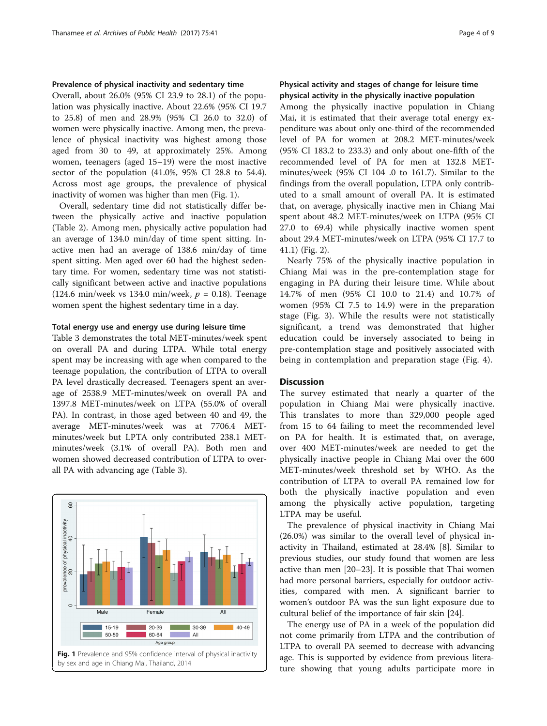## Prevalence of physical inactivity and sedentary time

Overall, about 26.0% (95% CI 23.9 to 28.1) of the population was physically inactive. About 22.6% (95% CI 19.7 to 25.8) of men and 28.9% (95% CI 26.0 to 32.0) of women were physically inactive. Among men, the prevalence of physical inactivity was highest among those aged from 30 to 49, at approximately 25%. Among women, teenagers (aged 15–19) were the most inactive sector of the population (41.0%, 95% CI 28.8 to 54.4). Across most age groups, the prevalence of physical inactivity of women was higher than men (Fig. 1).

Overall, sedentary time did not statistically differ between the physically active and inactive population (Table [2\)](#page-4-0). Among men, physically active population had an average of 134.0 min/day of time spent sitting. Inactive men had an average of 138.6 min/day of time spent sitting. Men aged over 60 had the highest sedentary time. For women, sedentary time was not statistically significant between active and inactive populations (124.6 min/week vs 134.0 min/week,  $p = 0.18$ ). Teenage women spent the highest sedentary time in a day.

## Total energy use and energy use during leisure time

Table [3](#page-4-0) demonstrates the total MET-minutes/week spent on overall PA and during LTPA. While total energy spent may be increasing with age when compared to the teenage population, the contribution of LTPA to overall PA level drastically decreased. Teenagers spent an average of 2538.9 MET-minutes/week on overall PA and 1397.8 MET-minutes/week on LTPA (55.0% of overall PA). In contrast, in those aged between 40 and 49, the average MET-minutes/week was at 7706.4 METminutes/week but LPTA only contributed 238.1 METminutes/week (3.1% of overall PA). Both men and women showed decreased contribution of LTPA to overall PA with advancing age (Table [3](#page-4-0)).



# Physical activity and stages of change for leisure time physical activity in the physically inactive population

Among the physically inactive population in Chiang Mai, it is estimated that their average total energy expenditure was about only one-third of the recommended level of PA for women at 208.2 MET-minutes/week (95% CI 183.2 to 233.3) and only about one-fifth of the recommended level of PA for men at 132.8 METminutes/week (95% CI 104 .0 to 161.7). Similar to the findings from the overall population, LTPA only contributed to a small amount of overall PA. It is estimated that, on average, physically inactive men in Chiang Mai spent about 48.2 MET-minutes/week on LTPA (95% CI 27.0 to 69.4) while physically inactive women spent about 29.4 MET-minutes/week on LTPA (95% CI 17.7 to 41.1) (Fig. [2](#page-5-0)).

Nearly 75% of the physically inactive population in Chiang Mai was in the pre-contemplation stage for engaging in PA during their leisure time. While about 14.7% of men (95% CI 10.0 to 21.4) and 10.7% of women (95% CI 7.5 to 14.9) were in the preparation stage (Fig. [3](#page-5-0)). While the results were not statistically significant, a trend was demonstrated that higher education could be inversely associated to being in pre-contemplation stage and positively associated with being in contemplation and preparation stage (Fig. [4\)](#page-6-0).

# **Discussion**

The survey estimated that nearly a quarter of the population in Chiang Mai were physically inactive. This translates to more than 329,000 people aged from 15 to 64 failing to meet the recommended level on PA for health. It is estimated that, on average, over 400 MET-minutes/week are needed to get the physically inactive people in Chiang Mai over the 600 MET-minutes/week threshold set by WHO. As the contribution of LTPA to overall PA remained low for both the physically inactive population and even among the physically active population, targeting LTPA may be useful.

The prevalence of physical inactivity in Chiang Mai (26.0%) was similar to the overall level of physical inactivity in Thailand, estimated at 28.4% [[8\]](#page-7-0). Similar to previous studies, our study found that women are less active than men [[20](#page-8-0)–[23](#page-8-0)]. It is possible that Thai women had more personal barriers, especially for outdoor activities, compared with men. A significant barrier to women's outdoor PA was the sun light exposure due to cultural belief of the importance of fair skin [\[24](#page-8-0)].

The energy use of PA in a week of the population did not come primarily from LTPA and the contribution of LTPA to overall PA seemed to decrease with advancing age. This is supported by evidence from previous literature showing that young adults participate more in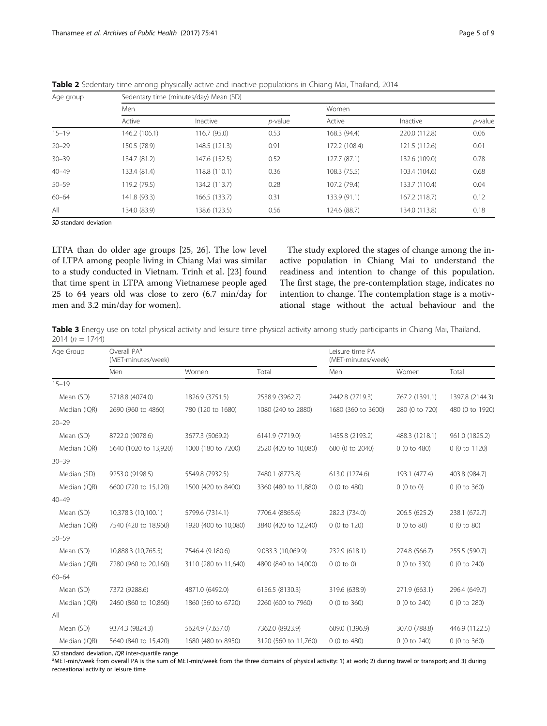| Age group | Sedentary time (minutes/day) Mean (SD) |                 |            |               |               |            |  |  |
|-----------|----------------------------------------|-----------------|------------|---------------|---------------|------------|--|--|
|           | Men                                    |                 |            | Women         |               |            |  |  |
|           | Active                                 | <i>Inactive</i> | $p$ -value | Active        | Inactive      | $p$ -value |  |  |
| $15 - 19$ | 146.2 (106.1)                          | 116.7 (95.0)    | 0.53       | 168.3 (94.4)  | 220.0 (112.8) | 0.06       |  |  |
| $20 - 29$ | 150.5 (78.9)                           | 148.5 (121.3)   | 0.91       | 172.2 (108.4) | 121.5 (112.6) | 0.01       |  |  |
| $30 - 39$ | 134.7 (81.2)                           | 147.6 (152.5)   | 0.52       | 127.7 (87.1)  | 132.6 (109.0) | 0.78       |  |  |
| $40 - 49$ | 133.4 (81.4)                           | 118.8 (110.1)   | 0.36       | 108.3(75.5)   | 103.4 (104.6) | 0.68       |  |  |
| $50 - 59$ | 119.2 (79.5)                           | 134.2 (113.7)   | 0.28       | 107.2 (79.4)  | 133.7 (110.4) | 0.04       |  |  |
| $60 - 64$ | 141.8 (93.3)                           | 166.5 (133.7)   | 0.31       | 133.9 (91.1)  | 167.2 (118.7) | 0.12       |  |  |
| All       | 134.0 (83.9)                           | 138.6 (123.5)   | 0.56       | 124.6 (88.7)  | 134.0 (113.8) | 0.18       |  |  |

<span id="page-4-0"></span>Table 2 Sedentary time among physically active and inactive populations in Chiang Mai, Thailand, 2014

SD standard deviation

LTPA than do older age groups [\[25, 26\]](#page-8-0). The low level of LTPA among people living in Chiang Mai was similar to a study conducted in Vietnam. Trinh et al. [\[23](#page-8-0)] found that time spent in LTPA among Vietnamese people aged 25 to 64 years old was close to zero (6.7 min/day for men and 3.2 min/day for women).

The study explored the stages of change among the inactive population in Chiang Mai to understand the readiness and intention to change of this population. The first stage, the pre-contemplation stage, indicates no intention to change. The contemplation stage is a motivational stage without the actual behaviour and the

Table 3 Energy use on total physical activity and leisure time physical activity among study participants in Chiang Mai, Thailand, 2014 ( $n = 1744$ )

| Age Group    | Overall PA <sup>a</sup><br>(MET-minutes/week) |                      | Leisure time PA<br>(MET-minutes/week) |                    |                |                 |
|--------------|-----------------------------------------------|----------------------|---------------------------------------|--------------------|----------------|-----------------|
|              | Men                                           | Women                | Total                                 | Men                | Women          | Total           |
| $15 - 19$    |                                               |                      |                                       |                    |                |                 |
| Mean (SD)    | 3718.8 (4074.0)                               | 1826.9 (3751.5)      | 2538.9 (3962.7)                       | 2442.8 (2719.3)    | 767.2 (1391.1) | 1397.8 (2144.3) |
| Median (IQR) | 2690 (960 to 4860)                            | 780 (120 to 1680)    | 1080 (240 to 2880)                    | 1680 (360 to 3600) | 280 (0 to 720) | 480 (0 to 1920) |
| $20 - 29$    |                                               |                      |                                       |                    |                |                 |
| Mean (SD)    | 8722.0 (9078.6)                               | 3677.3 (5069.2)      | 6141.9 (7719.0)                       | 1455.8 (2193.2)    | 488.3 (1218.1) | 961.0 (1825.2)  |
| Median (IQR) | 5640 (1020 to 13,920)                         | 1000 (180 to 7200)   | 2520 (420 to 10.080)                  | 600 (0 to 2040)    | 0(0 to 480)    | 0 (0 to 1120)   |
| $30 - 39$    |                                               |                      |                                       |                    |                |                 |
| Median (SD)  | 9253.0 (9198.5)                               | 5549.8 (7932.5)      | 7480.1 (8773.8)                       | 613.0 (1274.6)     | 193.1 (477.4)  | 403.8 (984.7)   |
| Median (IQR) | 6600 (720 to 15,120)                          | 1500 (420 to 8400)   | 3360 (480 to 11,880)                  | 0(0 to 480)        | 0(0 to 0)      | 0(0 to 360)     |
| $40 - 49$    |                                               |                      |                                       |                    |                |                 |
| Mean (SD)    | 10,378.3 (10,100.1)                           | 5799.6 (7314.1)      | 7706.4 (8865.6)                       | 282.3 (734.0)      | 206.5 (625.2)  | 238.1 (672.7)   |
| Median (IQR) | 7540 (420 to 18,960)                          | 1920 (400 to 10,080) | 3840 (420 to 12,240)                  | 0(0 to 120)        | 0(0 to 80)     | 0(0 to 80)      |
| $50 - 59$    |                                               |                      |                                       |                    |                |                 |
| Mean (SD)    | 10,888.3 (10,765.5)                           | 7546.4 (9.180.6)     | 9.083.3 (10,069.9)                    | 232.9 (618.1)      | 274.8 (566.7)  | 255.5 (590.7)   |
| Median (IQR) | 7280 (960 to 20,160)                          | 3110 (280 to 11,640) | 4800 (840 to 14,000)                  | 0(0 to 0)          | 0(0 to 330)    | 0(0 to 240)     |
| $60 - 64$    |                                               |                      |                                       |                    |                |                 |
| Mean (SD)    | 7372 (9288.6)                                 | 4871.0 (6492.0)      | 6156.5 (8130.3)                       | 319.6 (638.9)      | 271.9 (663.1)  | 296.4 (649.7)   |
| Median (IQR) | 2460 (860 to 10,860)                          | 1860 (560 to 6720)   | 2260 (600 to 7960)                    | 0(0 to 360)        | 0(0 to 240)    | 0(0 to 280)     |
| All          |                                               |                      |                                       |                    |                |                 |
| Mean (SD)    | 9374.3 (9824.3)                               | 5624.9 (7.657.0)     | 7362.0 (8923.9)                       | 609.0 (1396.9)     | 307.0 (788.8)  | 446.9 (1122.5)  |
| Median (IQR) | 5640 (840 to 15,420)                          | 1680 (480 to 8950)   | 3120 (560 to 11,760)                  | 0(0 to 480)        | 0(0 to 240)    | 0(0 to 360)     |

 $SD$  standard deviation,  $IQR$  inter-quartile range

<sup>a</sup>MET-min/week from overall PA is the sum of MET-min/week from the three domains of physical activity: 1) at work; 2) during travel or transport; and 3) during recreational activity or leisure time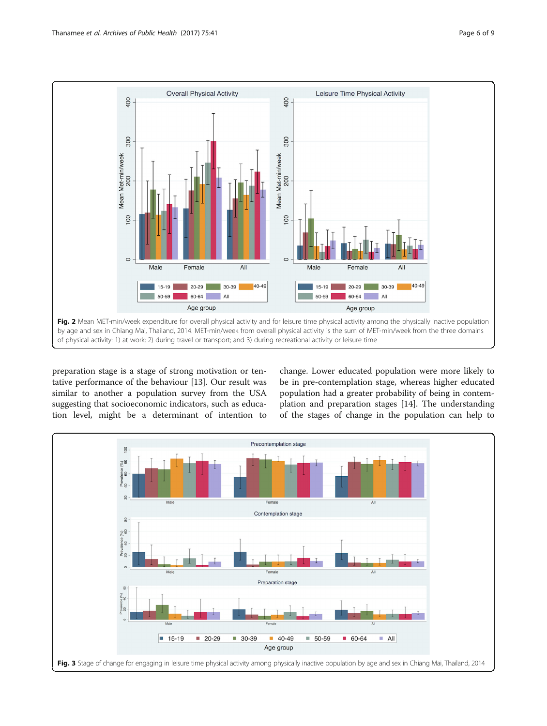<span id="page-5-0"></span>

preparation stage is a stage of strong motivation or tentative performance of the behaviour [\[13\]](#page-8-0). Our result was similar to another a population survey from the USA suggesting that socioeconomic indicators, such as education level, might be a determinant of intention to change. Lower educated population were more likely to be in pre-contemplation stage, whereas higher educated population had a greater probability of being in contemplation and preparation stages [[14\]](#page-8-0). The understanding of the stages of change in the population can help to

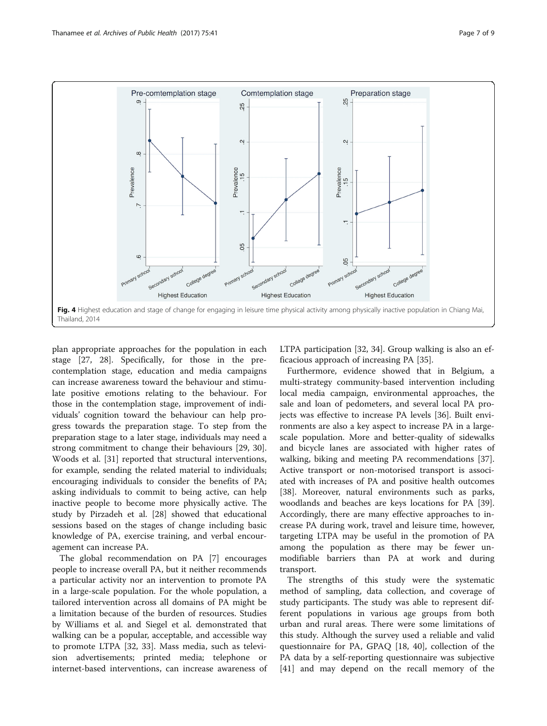<span id="page-6-0"></span>

plan appropriate approaches for the population in each stage [\[27](#page-8-0), [28](#page-8-0)]. Specifically, for those in the precontemplation stage, education and media campaigns can increase awareness toward the behaviour and stimulate positive emotions relating to the behaviour. For those in the contemplation stage, improvement of individuals' cognition toward the behaviour can help progress towards the preparation stage. To step from the preparation stage to a later stage, individuals may need a strong commitment to change their behaviours [[29, 30](#page-8-0)]. Woods et al. [\[31](#page-8-0)] reported that structural interventions, for example, sending the related material to individuals; encouraging individuals to consider the benefits of PA; asking individuals to commit to being active, can help inactive people to become more physically active. The study by Pirzadeh et al. [[28\]](#page-8-0) showed that educational sessions based on the stages of change including basic knowledge of PA, exercise training, and verbal encouragement can increase PA.

The global recommendation on PA [[7\]](#page-7-0) encourages people to increase overall PA, but it neither recommends a particular activity nor an intervention to promote PA in a large-scale population. For the whole population, a tailored intervention across all domains of PA might be a limitation because of the burden of resources. Studies by Williams et al. and Siegel et al. demonstrated that walking can be a popular, acceptable, and accessible way to promote LTPA [\[32](#page-8-0), [33](#page-8-0)]. Mass media, such as television advertisements; printed media; telephone or internet-based interventions, can increase awareness of LTPA participation [\[32, 34\]](#page-8-0). Group walking is also an efficacious approach of increasing PA [\[35\]](#page-8-0).

Furthermore, evidence showed that in Belgium, a multi-strategy community-based intervention including local media campaign, environmental approaches, the sale and loan of pedometers, and several local PA projects was effective to increase PA levels [\[36](#page-8-0)]. Built environments are also a key aspect to increase PA in a largescale population. More and better-quality of sidewalks and bicycle lanes are associated with higher rates of walking, biking and meeting PA recommendations [\[37](#page-8-0)]. Active transport or non-motorised transport is associated with increases of PA and positive health outcomes [[38\]](#page-8-0). Moreover, natural environments such as parks, woodlands and beaches are keys locations for PA [\[39](#page-8-0)]. Accordingly, there are many effective approaches to increase PA during work, travel and leisure time, however, targeting LTPA may be useful in the promotion of PA among the population as there may be fewer unmodifiable barriers than PA at work and during transport.

The strengths of this study were the systematic method of sampling, data collection, and coverage of study participants. The study was able to represent different populations in various age groups from both urban and rural areas. There were some limitations of this study. Although the survey used a reliable and valid questionnaire for PA, GPAQ [[18](#page-8-0), [40\]](#page-8-0), collection of the PA data by a self-reporting questionnaire was subjective [[41\]](#page-8-0) and may depend on the recall memory of the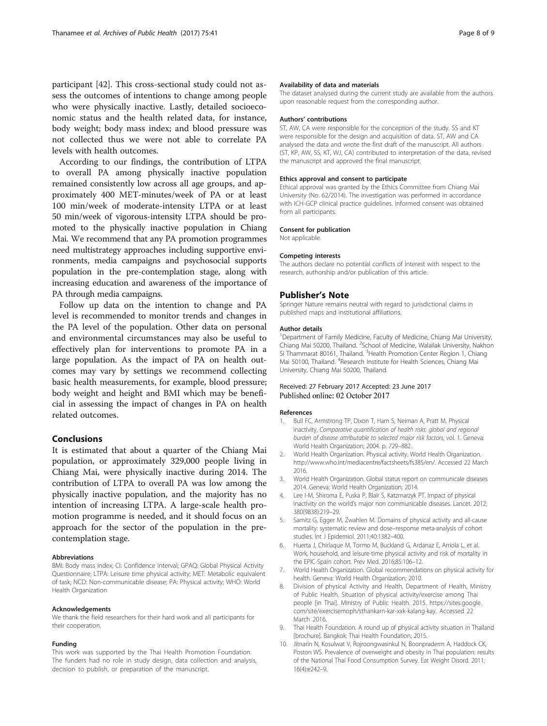<span id="page-7-0"></span>participant [\[42](#page-8-0)]. This cross-sectional study could not assess the outcomes of intentions to change among people who were physically inactive. Lastly, detailed socioeconomic status and the health related data, for instance, body weight; body mass index; and blood pressure was not collected thus we were not able to correlate PA levels with health outcomes.

According to our findings, the contribution of LTPA to overall PA among physically inactive population remained consistently low across all age groups, and approximately 400 MET-minutes/week of PA or at least 100 min/week of moderate-intensity LTPA or at least 50 min/week of vigorous-intensity LTPA should be promoted to the physically inactive population in Chiang Mai. We recommend that any PA promotion programmes need multistrategy approaches including supportive environments, media campaigns and psychosocial supports population in the pre-contemplation stage, along with increasing education and awareness of the importance of PA through media campaigns.

Follow up data on the intention to change and PA level is recommended to monitor trends and changes in the PA level of the population. Other data on personal and environmental circumstances may also be useful to effectively plan for interventions to promote PA in a large population. As the impact of PA on health outcomes may vary by settings we recommend collecting basic health measurements, for example, blood pressure; body weight and height and BMI which may be beneficial in assessing the impact of changes in PA on health related outcomes.

## Conclusions

It is estimated that about a quarter of the Chiang Mai population, or approximately 329,000 people living in Chiang Mai, were physically inactive during 2014. The contribution of LTPA to overall PA was low among the physically inactive population, and the majority has no intention of increasing LTPA. A large-scale health promotion programme is needed, and it should focus on an approach for the sector of the population in the precontemplation stage.

#### Abbreviations

BMI: Body mass index; CI: Confidence interval; GPAQ: Global Physical Activity Questionnaire; LTPA: Leisure time physical activity; MET: Metabolic equivalent of task; NCD: Non-communicable disease; PA: Physical activity; WHO: World Health Organization

#### Acknowledgements

We thank the field researchers for their hard work and all participants for their cooperation.

#### Funding

This work was supported by the Thai Health Promotion Foundation. The funders had no role in study design, data collection and analysis, decision to publish, or preparation of the manuscript.

#### Availability of data and materials

The dataset analysed during the current study are available from the authors upon reasonable request from the corresponding author.

#### Authors' contributions

ST, AW, CA were responsible for the conception of the study. SS and KT were responsible for the design and acquisition of data. ST, AW and CA analysed the data and wrote the first draft of the manuscript. All authors (ST, KP, AW, SS, KT, WJ, CA) contributed to interpretation of the data, revised the manuscript and approved the final manuscript.

#### Ethics approval and consent to participate

Ethical approval was granted by the Ethics Committee from Chiang Mai University (No. 62/2014). The investigation was performed in accordance with ICH-GCP clinical practice guidelines. Informed consent was obtained from all participants.

## Consent for publication

Not applicable.

#### Competing interests

The authors declare no potential conflicts of interest with respect to the research, authorship and/or publication of this article.

#### Publisher's Note

Springer Nature remains neutral with regard to jurisdictional claims in published maps and institutional affiliations.

#### Author details

<sup>1</sup>Department of Family Medicine, Faculty of Medicine, Chiang Mai University, Chiang Mai 50200, Thailand. <sup>2</sup>School of Medicine, Walailak University, Nakhon Si Thammarat 80161, Thailand. <sup>3</sup> Health Promotion Center Region 1, Chiang Mai 50100, Thailand. <sup>4</sup>Research Institute for Health Sciences, Chiang Mai University, Chiang Mai 50200, Thailand.

#### Received: 27 February 2017 Accepted: 23 June 2017 Published online: 02 October 2017

#### References

- 1. Bull FC, Armstrong TP, Dixon T, Ham S, Neiman A, Pratt M. Physical inactivity, Comparative quantification of health risks: global and regional burden of disease attributable to selected major risk factors, vol. 1. Geneva: World Health Organization; 2004. p. 729–882.
- 2. World Health Organization. Physical activity. World Health Organization. [http://www.who.int/mediacentre/factsheets/fs385/en/.](http://www.who.int/mediacentre/factsheets/fs385/en) Accessed 22 March 2016.
- 3. World Health Organization. Global status report on communicale diseases 2014. Geneva: World Health Organization; 2014.
- 4. Lee I-M, Shiroma E, Puska P, Blair S, Katzmarzyk PT. Impact of physical inactivity on the world's major non communicable diseases. Lancet. 2012; 380(9838):219–29.
- 5. Samitz G, Egger M, Zwahlen M. Domains of physical activity and all-cause mortality: systematic review and dose–response meta-analysis of cohort studies. Int J Epidemiol. 2011;40:1382–400.
- 6. Huerta J, Chirlaque M, Tormo M, Buckland G, Ardanaz E, Arriola L, et al. Work, household, and leisure-time physical activity and risk of mortality in the EPIC-Spain cohort. Prev Med. 2016;85:106–12.
- 7. World Health Organization. Global recommendations on physical activity for health. Geneva: World Health Organization; 2010.
- 8. Division of physical Activity and Health, Department of Health, Ministry of Public Health. Situation of physical activity/exercise among Thai people [in Thai]. Ministry of Public Health. 2015. [https://sites.google.](https://sites.google.com/site/exercisemoph/sthankarn-kar-xxk-kalang-kay) [com/site/exercisemoph/sthankarn-kar-xxk-kalang-kay.](https://sites.google.com/site/exercisemoph/sthankarn-kar-xxk-kalang-kay) Accessed 22 March 2016.
- 9. Thai Health Foundation. A round up of physical activity situation in Thailand [brochure]. Bangkok: Thai Health Foundation; 2015.
- 10. Jitnarin N, Kosulwat V, Rojroongwasinkul N, Boonpraderm A, Haddock CK, Poston WS. Prevalence of overweight and obesity in Thai population: results of the National Thai Food Consumption Survey. Eat Weight Disord. 2011; 16(4):e242–9.